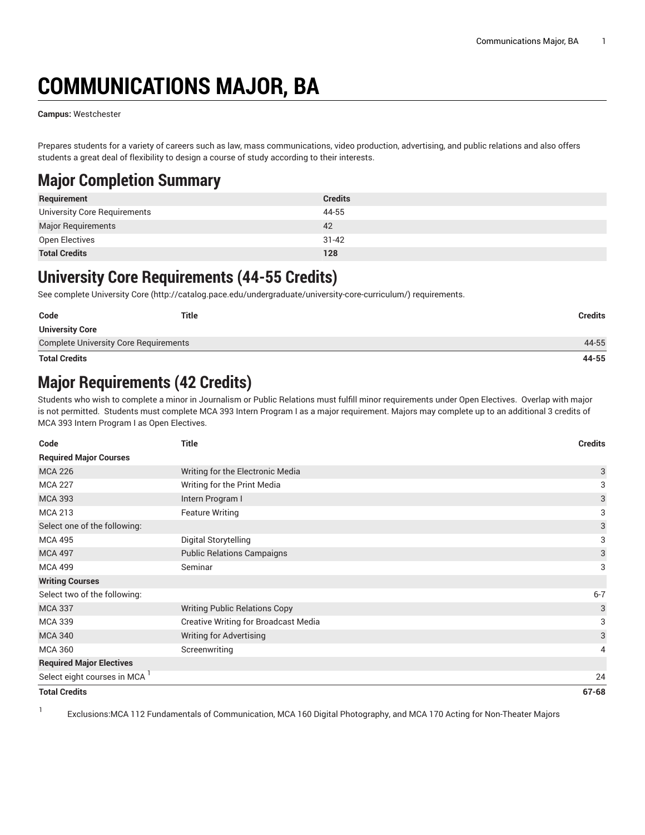# **COMMUNICATIONS MAJOR, BA**

**Campus:** Westchester

1

Prepares students for a variety of careers such as law, mass communications, video production, advertising, and public relations and also offers students a great deal of flexibility to design a course of study according to their interests.

# **Major Completion Summary**

| Requirement                  | <b>Credits</b> |
|------------------------------|----------------|
| University Core Requirements | 44-55          |
| <b>Major Requirements</b>    | 42             |
| Open Electives               | $31 - 42$      |
| <b>Total Credits</b>         | 128            |

### **University Core Requirements (44-55 Credits)**

See complete [University](http://catalog.pace.edu/undergraduate/university-core-curriculum/) Core (<http://catalog.pace.edu/undergraduate/university-core-curriculum/>) requirements.

| Code                                         | <b>Title</b> | <b>Credits</b> |
|----------------------------------------------|--------------|----------------|
| <b>University Core</b>                       |              |                |
| <b>Complete University Core Requirements</b> |              | 44-55          |
| <b>Total Credits</b>                         |              | 44-55          |

## **Major Requirements (42 Credits)**

Students who wish to complete a minor in Journalism or Public Relations must fulfill minor requirements under Open Electives. Overlap with major is not permitted. Students must complete MCA 393 Intern Program I as a major requirement. Majors may complete up to an additional 3 credits of MCA 393 Intern Program I as Open Electives.

| Code                            | Title                                       | <b>Credits</b> |
|---------------------------------|---------------------------------------------|----------------|
| <b>Required Major Courses</b>   |                                             |                |
| <b>MCA 226</b>                  | Writing for the Electronic Media            | 3              |
| <b>MCA 227</b>                  | Writing for the Print Media                 | 3              |
| <b>MCA 393</b>                  | Intern Program I                            | 3              |
| <b>MCA 213</b>                  | <b>Feature Writing</b>                      | 3              |
| Select one of the following:    |                                             | 3              |
| <b>MCA 495</b>                  | Digital Storytelling                        | 3              |
| <b>MCA 497</b>                  | <b>Public Relations Campaigns</b>           | 3              |
| <b>MCA 499</b>                  | Seminar                                     | 3              |
| <b>Writing Courses</b>          |                                             |                |
| Select two of the following:    |                                             | $6 - 7$        |
| <b>MCA 337</b>                  | <b>Writing Public Relations Copy</b>        | 3              |
| <b>MCA 339</b>                  | <b>Creative Writing for Broadcast Media</b> | 3              |
| <b>MCA 340</b>                  | <b>Writing for Advertising</b>              | 3              |
| <b>MCA 360</b>                  | Screenwriting                               | 4              |
| <b>Required Major Electives</b> |                                             |                |
| Select eight courses in MCA     |                                             | 24             |
| <b>Total Credits</b>            |                                             | $67 - 68$      |

Exclusions:MCA 112 Fundamentals of Communication, MCA 160 Digital Photography, and MCA 170 Acting for Non-Theater Majors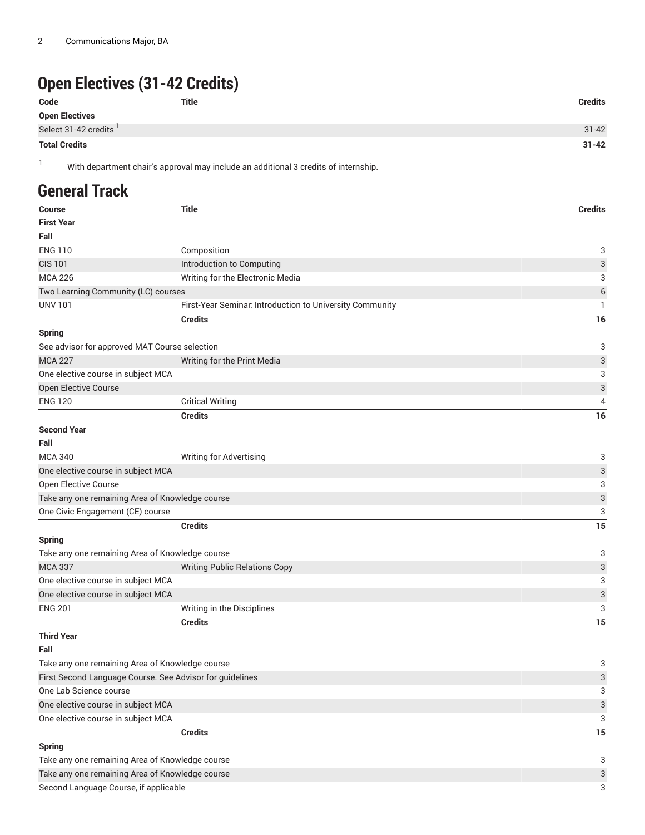# **Open Electives (31-42 Credits)**

| Code                  | Title | <b>Credits</b> |
|-----------------------|-------|----------------|
| <b>Open Electives</b> |       |                |
| Select 31-42 credits  |       | $31 - 42$      |
|                       |       |                |

**Total Credits 31-42**

<sup>1</sup> With department chair's approval may include an additional <sup>3</sup> credits of internship.

## **General Track**

| <b>Course</b>                                            | <b>Title</b>                                             | <b>Credits</b> |
|----------------------------------------------------------|----------------------------------------------------------|----------------|
| <b>First Year</b>                                        |                                                          |                |
| Fall                                                     |                                                          |                |
| <b>ENG 110</b>                                           | Composition                                              | 3              |
| <b>CIS 101</b>                                           | Introduction to Computing                                | 3              |
| <b>MCA 226</b>                                           | Writing for the Electronic Media                         | 3              |
| Two Learning Community (LC) courses                      |                                                          | 6              |
| <b>UNV 101</b>                                           | First-Year Seminar. Introduction to University Community | 1              |
|                                                          | <b>Credits</b>                                           | 16             |
| <b>Spring</b>                                            |                                                          |                |
| See advisor for approved MAT Course selection            |                                                          | 3              |
| <b>MCA 227</b>                                           | Writing for the Print Media                              | 3              |
| One elective course in subject MCA                       |                                                          | 3              |
| Open Elective Course                                     |                                                          | 3              |
| <b>ENG 120</b>                                           | <b>Critical Writing</b>                                  | 4              |
|                                                          | <b>Credits</b>                                           | 16             |
| <b>Second Year</b>                                       |                                                          |                |
| Fall                                                     |                                                          |                |
| <b>MCA 340</b>                                           | <b>Writing for Advertising</b>                           | 3              |
| One elective course in subject MCA                       |                                                          | 3              |
| Open Elective Course                                     |                                                          | 3              |
| Take any one remaining Area of Knowledge course          |                                                          | 3              |
| One Civic Engagement (CE) course                         |                                                          | 3              |
|                                                          | <b>Credits</b>                                           | 15             |
| <b>Spring</b>                                            |                                                          |                |
| Take any one remaining Area of Knowledge course          |                                                          | 3              |
| <b>MCA 337</b>                                           | <b>Writing Public Relations Copy</b>                     | 3              |
| One elective course in subject MCA                       |                                                          | 3              |
| One elective course in subject MCA                       |                                                          | 3              |
| <b>ENG 201</b>                                           | Writing in the Disciplines                               | 3              |
|                                                          | <b>Credits</b>                                           | 15             |
| <b>Third Year</b>                                        |                                                          |                |
| Fall                                                     |                                                          |                |
| Take any one remaining Area of Knowledge course          |                                                          | 3              |
| First Second Language Course. See Advisor for guidelines |                                                          | 3              |
| One Lab Science course                                   |                                                          | 3              |
| One elective course in subject MCA                       |                                                          | 3              |
| One elective course in subject MCA                       |                                                          | 3              |
|                                                          | <b>Credits</b>                                           | 15             |
| <b>Spring</b>                                            |                                                          |                |
| Take any one remaining Area of Knowledge course          |                                                          | 3              |
| Take any one remaining Area of Knowledge course          |                                                          | 3              |
| Second Language Course, if applicable                    |                                                          | 3              |
|                                                          |                                                          |                |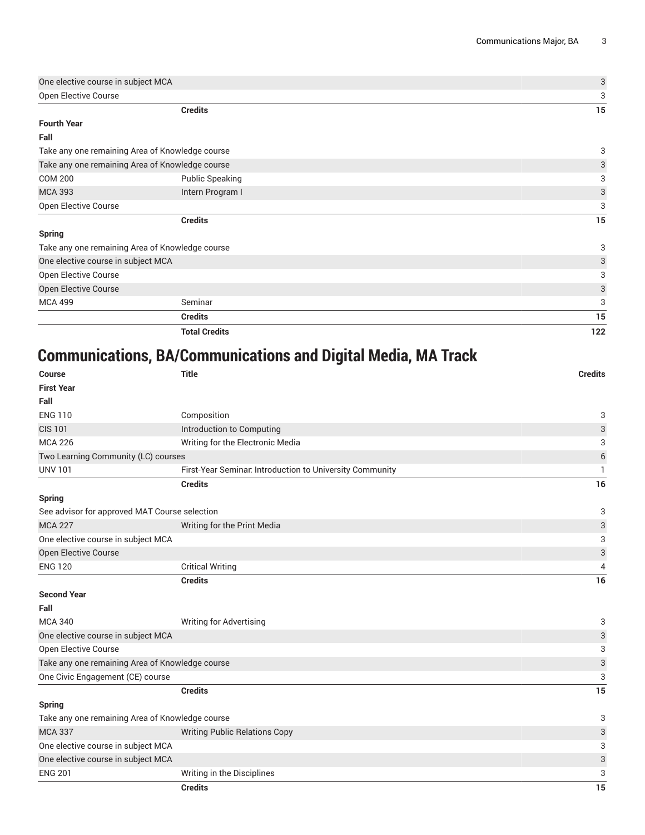| One elective course in subject MCA              |                                                 | 3   |
|-------------------------------------------------|-------------------------------------------------|-----|
| Open Elective Course                            |                                                 | 3   |
|                                                 | <b>Credits</b>                                  | 15  |
| <b>Fourth Year</b>                              |                                                 |     |
| Fall                                            |                                                 |     |
|                                                 | Take any one remaining Area of Knowledge course | 3   |
| Take any one remaining Area of Knowledge course |                                                 | 3   |
| <b>COM 200</b>                                  | <b>Public Speaking</b>                          | 3   |
| <b>MCA 393</b>                                  | Intern Program I                                | 3   |
| Open Elective Course                            |                                                 | 3   |
|                                                 | <b>Credits</b>                                  | 15  |
| <b>Spring</b>                                   |                                                 |     |
| Take any one remaining Area of Knowledge course |                                                 | 3   |
| One elective course in subject MCA              |                                                 | 3   |
| Open Elective Course                            |                                                 | 3   |
| Open Elective Course                            |                                                 | 3   |
| <b>MCA 499</b>                                  | Seminar                                         | 3   |
|                                                 | <b>Credits</b>                                  | 15  |
|                                                 | <b>Total Credits</b>                            | 122 |

# **Communications, BA/Communications and Digital Media, MA Track**

| <b>Course</b>                                   | <b>Title</b>                                             | <b>Credits</b>            |
|-------------------------------------------------|----------------------------------------------------------|---------------------------|
| <b>First Year</b>                               |                                                          |                           |
| Fall                                            |                                                          |                           |
| <b>ENG 110</b>                                  | Composition                                              | 3                         |
| <b>CIS 101</b>                                  | Introduction to Computing                                | $\ensuremath{\mathsf{3}}$ |
| <b>MCA 226</b>                                  | Writing for the Electronic Media                         | 3                         |
| Two Learning Community (LC) courses             |                                                          | $6\,$                     |
| <b>UNV 101</b>                                  | First-Year Seminar. Introduction to University Community | 1                         |
|                                                 | <b>Credits</b>                                           | 16                        |
| <b>Spring</b>                                   |                                                          |                           |
| See advisor for approved MAT Course selection   |                                                          | 3                         |
| <b>MCA 227</b>                                  | Writing for the Print Media                              | 3                         |
| One elective course in subject MCA              |                                                          | 3                         |
| Open Elective Course                            |                                                          | $\ensuremath{\mathsf{3}}$ |
| <b>ENG 120</b>                                  | <b>Critical Writing</b>                                  | 4                         |
|                                                 | <b>Credits</b>                                           | 16                        |
| <b>Second Year</b>                              |                                                          |                           |
| Fall                                            |                                                          |                           |
| <b>MCA 340</b>                                  | Writing for Advertising                                  | 3                         |
| One elective course in subject MCA              |                                                          | 3                         |
| <b>Open Elective Course</b>                     |                                                          | 3                         |
| Take any one remaining Area of Knowledge course |                                                          | 3                         |
| One Civic Engagement (CE) course                |                                                          | 3                         |
|                                                 | <b>Credits</b>                                           | 15                        |
| <b>Spring</b>                                   |                                                          |                           |
| Take any one remaining Area of Knowledge course |                                                          | 3                         |
| <b>MCA 337</b>                                  | <b>Writing Public Relations Copy</b>                     | 3                         |
| One elective course in subject MCA              |                                                          | 3                         |
| One elective course in subject MCA              |                                                          | $\ensuremath{\mathsf{3}}$ |
| <b>ENG 201</b>                                  | Writing in the Disciplines                               | 3                         |
|                                                 | <b>Credits</b>                                           | 15                        |